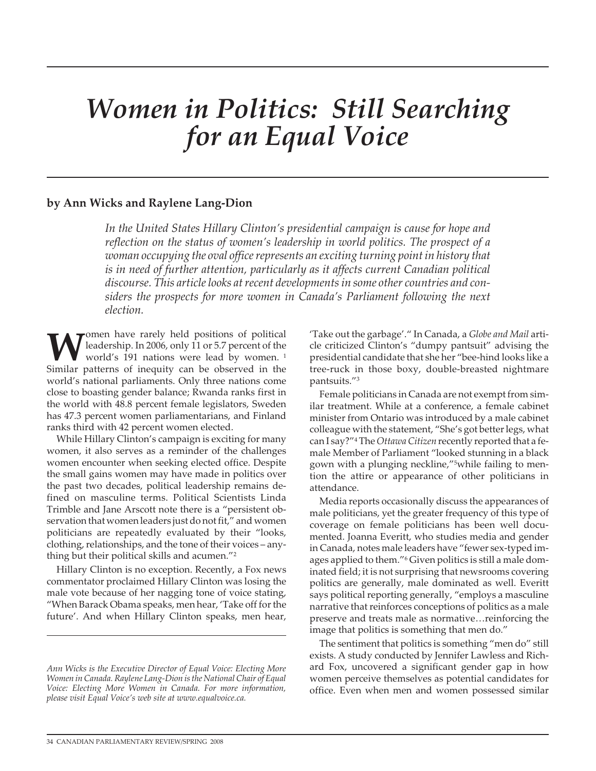# *Women in Politics: Still Searching for an Equal Voice*

# **by Ann Wicks and Raylene Lang-Dion**

*In the United States Hillary Clinton's presidential campaign is cause for hope and reflection on the status of women's leadership in world politics. The prospect of a woman occupying the oval office represents an exciting turning point in history that is in need of further attention, particularly as it affects current Canadian political discourse. This article looks at recent developments in some other countries and considers the prospects for more women in Canada's Parliament following the next election.*

**W** leadership. In 2006, only 11 or 5.7 percent of the world's 191 nations were lead by women.<sup>1</sup> leadership. In 2006, only 11 or 5.7 percent of the world's 191 nations were lead by women. <sup>1</sup> Similar patterns of inequity can be observed in the world's national parliaments. Only three nations come close to boasting gender balance; Rwanda ranks first in the world with 48.8 percent female legislators, Sweden has 47.3 percent women parliamentarians, and Finland ranks third with 42 percent women elected.

While Hillary Clinton's campaign is exciting for many women, it also serves as a reminder of the challenges women encounter when seeking elected office. Despite the small gains women may have made in politics over the past two decades, political leadership remains defined on masculine terms. Political Scientists Linda Trimble and Jane Arscott note there is a "persistent observation that women leaders just do not fit," and women politicians are repeatedly evaluated by their "looks, clothing, relationships, and the tone of their voices – anything but their political skills and acumen."2

Hillary Clinton is no exception. Recently, a Fox news commentator proclaimed Hillary Clinton was losing the male vote because of her nagging tone of voice stating, "When Barack Obama speaks, men hear, 'Take off for the future'. And when Hillary Clinton speaks, men hear,

'Take out the garbage'." In Canada, a *Globe and Mail* article criticized Clinton's "dumpy pantsuit" advising the presidential candidate that she her "bee-hind looks like a tree-ruck in those boxy, double-breasted nightmare pantsuits."3

Female politicians in Canada are not exempt from similar treatment. While at a conference, a female cabinet minister from Ontario was introduced by a male cabinet colleague with the statement, "She's got better legs, what can I say?"4 The*Ottawa Citizen* recently reported that a female Member of Parliament "looked stunning in a black gown with a plunging neckline,"5while failing to mention the attire or appearance of other politicians in attendance.

Media reports occasionally discuss the appearances of male politicians, yet the greater frequency of this type of coverage on female politicians has been well documented. Joanna Everitt, who studies media and gender in Canada, notes male leaders have "fewer sex-typed images applied to them."6 Given politics is still a male dominated field; it is not surprising that newsrooms covering politics are generally, male dominated as well. Everitt says political reporting generally, "employs a masculine narrative that reinforces conceptions of politics as a male preserve and treats male as normative…reinforcing the image that politics is something that men do."

The sentiment that politics is something "men do" still exists. A study conducted by Jennifer Lawless and Richard Fox, uncovered a significant gender gap in how women perceive themselves as potential candidates for office. Even when men and women possessed similar

*Ann Wicks is the Executive Director of Equal Voice: Electing More Women in Canada. Raylene Lang-Dion is the National Chair of Equal Voice: Electing More Women in Canada. For more information, please visit Equal Voice's web site at www.equalvoice.ca.*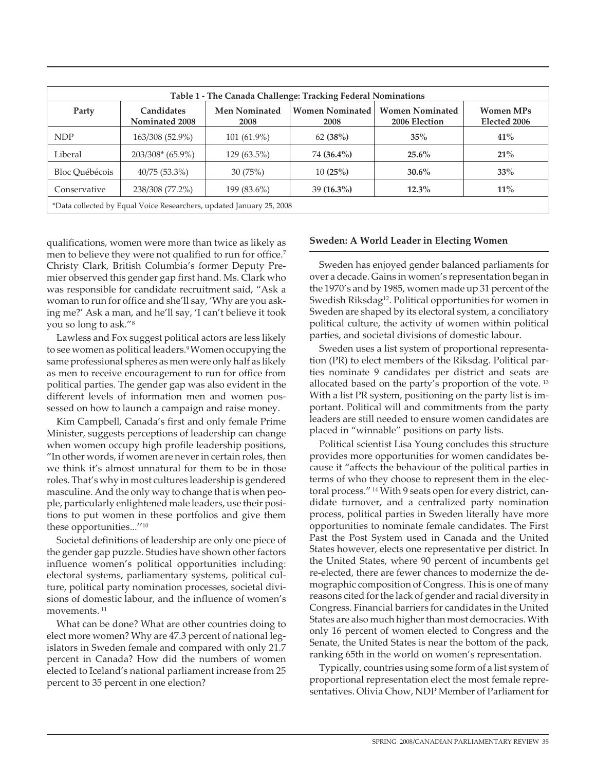| Table 1 - The Canada Challenge: Tracking Federal Nominations         |                                     |                              |                                |                                         |                                  |
|----------------------------------------------------------------------|-------------------------------------|------------------------------|--------------------------------|-----------------------------------------|----------------------------------|
| Party                                                                | <b>Candidates</b><br>Nominated 2008 | <b>Men Nominated</b><br>2008 | <b>Women Nominated</b><br>2008 | <b>Women Nominated</b><br>2006 Election | <b>Women MPs</b><br>Elected 2006 |
| <b>NDP</b>                                                           | 163/308 (52.9%)                     | $101(61.9\%)$                | 62(38%)                        | $35\%$                                  | 41%                              |
| Liberal                                                              | $203/308*(65.9\%)$                  | $129(63.5\%)$                | 74 (36.4%)                     | $25.6\%$                                | 21%                              |
| Bloc Ouébécois                                                       | $40/75(53.3\%)$                     | 30(75%)                      | 10(25%)                        | $30.6\%$                                | 33%                              |
| Conservative                                                         | 238/308 (77.2%)                     | 199 (83.6%)                  | $39(16.3\%)$                   | $12.3\%$                                | $11\%$                           |
| *Data collected by Equal Voice Researchers, updated January 25, 2008 |                                     |                              |                                |                                         |                                  |

qualifications, women were more than twice as likely as men to believe they were not qualified to run for office.<sup>7</sup> Christy Clark, British Columbia's former Deputy Premier observed this gender gap first hand. Ms. Clark who was responsible for candidate recruitment said, "Ask a woman to run for office and she'll say, 'Why are you asking me?' Ask a man, and he'll say, 'I can't believe it took you so long to ask."8

Lawless and Fox suggest political actors are less likely to see women as political leaders.<sup>9</sup>Women occupying the same professional spheres as men were only half as likely as men to receive encouragement to run for office from political parties. The gender gap was also evident in the different levels of information men and women possessed on how to launch a campaign and raise money.

Kim Campbell, Canada's first and only female Prime Minister, suggests perceptions of leadership can change when women occupy high profile leadership positions, "In other words, if women are never in certain roles, then we think it's almost unnatural for them to be in those roles. That's why in most cultures leadership is gendered masculine. And the only way to change that is when people, particularly enlightened male leaders, use their positions to put women in these portfolios and give them these opportunities...''10

Societal definitions of leadership are only one piece of the gender gap puzzle. Studies have shown other factors influence women's political opportunities including: electoral systems, parliamentary systems, political culture, political party nomination processes, societal divisions of domestic labour, and the influence of women's movements. <sup>11</sup>

What can be done? What are other countries doing to elect more women? Why are 47.3 percent of national legislators in Sweden female and compared with only 21.7 percent in Canada? How did the numbers of women elected to Iceland's national parliament increase from 25 percent to 35 percent in one election?

#### **Sweden: A World Leader in Electing Women**

Sweden has enjoyed gender balanced parliaments for over a decade. Gains in women's representation began in the 1970's and by 1985, women made up 31 percent of the Swedish Riksdag<sup>12</sup>. Political opportunities for women in Sweden are shaped by its electoral system, a conciliatory political culture, the activity of women within political parties, and societal divisions of domestic labour.

Sweden uses a list system of proportional representation (PR) to elect members of the Riksdag. Political parties nominate 9 candidates per district and seats are allocated based on the party's proportion of the vote. <sup>13</sup> With a list PR system, positioning on the party list is important. Political will and commitments from the party leaders are still needed to ensure women candidates are placed in "winnable" positions on party lists.

Political scientist Lisa Young concludes this structure provides more opportunities for women candidates because it "affects the behaviour of the political parties in terms of who they choose to represent them in the electoral process." <sup>14</sup> With 9 seats open for every district, candidate turnover, and a centralized party nomination process, political parties in Sweden literally have more opportunities to nominate female candidates. The First Past the Post System used in Canada and the United States however, elects one representative per district. In the United States, where 90 percent of incumbents get re-elected, there are fewer chances to modernize the demographic composition of Congress. This is one of many reasons cited for the lack of gender and racial diversity in Congress. Financial barriers for candidates in the United States are also much higher than most democracies. With only 16 percent of women elected to Congress and the Senate, the United States is near the bottom of the pack, ranking 65th in the world on women's representation.

Typically, countries using some form of a list system of proportional representation elect the most female representatives. Olivia Chow, NDP Member of Parliament for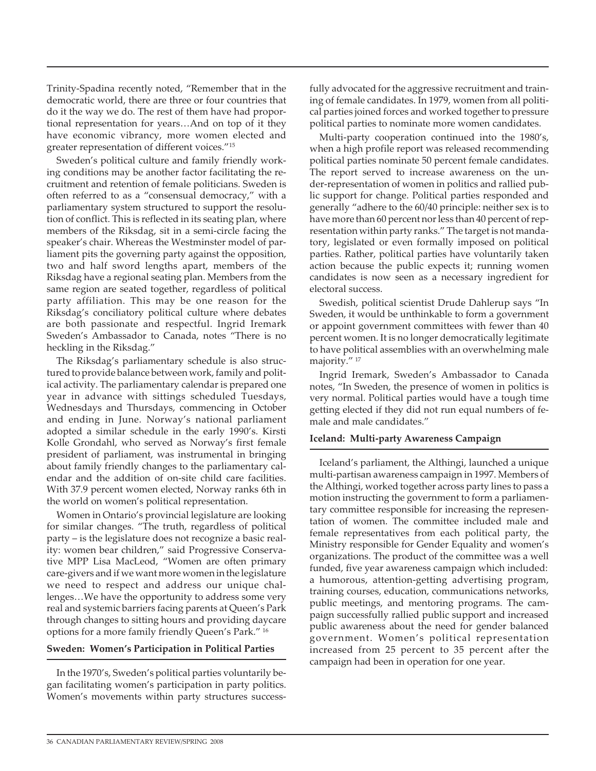Trinity-Spadina recently noted, "Remember that in the democratic world, there are three or four countries that do it the way we do. The rest of them have had proportional representation for years…And on top of it they have economic vibrancy, more women elected and greater representation of different voices."15

Sweden's political culture and family friendly working conditions may be another factor facilitating the recruitment and retention of female politicians. Sweden is often referred to as a "consensual democracy," with a parliamentary system structured to support the resolution of conflict. This is reflected in its seating plan, where members of the Riksdag, sit in a semi-circle facing the speaker's chair. Whereas the Westminster model of parliament pits the governing party against the opposition, two and half sword lengths apart, members of the Riksdag have a regional seating plan. Members from the same region are seated together, regardless of political party affiliation. This may be one reason for the Riksdag's conciliatory political culture where debates are both passionate and respectful. Ingrid Iremark Sweden's Ambassador to Canada, notes "There is no heckling in the Riksdag."

The Riksdag's parliamentary schedule is also structured to provide balance between work, family and political activity. The parliamentary calendar is prepared one year in advance with sittings scheduled Tuesdays, Wednesdays and Thursdays, commencing in October and ending in June. Norway's national parliament adopted a similar schedule in the early 1990's. Kirsti Kolle Grondahl, who served as Norway's first female president of parliament, was instrumental in bringing about family friendly changes to the parliamentary calendar and the addition of on-site child care facilities. With 37.9 percent women elected, Norway ranks 6th in the world on women's political representation.

Women in Ontario's provincial legislature are looking for similar changes. "The truth, regardless of political party – is the legislature does not recognize a basic reality: women bear children," said Progressive Conservative MPP Lisa MacLeod, "Women are often primary care-givers and if we want more women in the legislature we need to respect and address our unique challenges…We have the opportunity to address some very real and systemic barriers facing parents at Queen's Park through changes to sitting hours and providing daycare options for a more family friendly Queen's Park." <sup>16</sup>

#### **Sweden: Women's Participation in Political Parties**

In the 1970's, Sweden's political parties voluntarily began facilitating women's participation in party politics. Women's movements within party structures successfully advocated for the aggressive recruitment and training of female candidates. In 1979, women from all political parties joined forces and worked together to pressure political parties to nominate more women candidates.

Multi-party cooperation continued into the 1980's, when a high profile report was released recommending political parties nominate 50 percent female candidates. The report served to increase awareness on the under-representation of women in politics and rallied public support for change. Political parties responded and generally "adhere to the 60/40 principle: neither sex is to have more than 60 percent nor less than 40 percent of representation within party ranks." The target is not mandatory, legislated or even formally imposed on political parties. Rather, political parties have voluntarily taken action because the public expects it; running women candidates is now seen as a necessary ingredient for electoral success.

Swedish, political scientist Drude Dahlerup says "In Sweden, it would be unthinkable to form a government or appoint government committees with fewer than 40 percent women. It is no longer democratically legitimate to have political assemblies with an overwhelming male majority." <sup>17</sup>

Ingrid Iremark, Sweden's Ambassador to Canada notes, "In Sweden, the presence of women in politics is very normal. Political parties would have a tough time getting elected if they did not run equal numbers of female and male candidates."

#### **Iceland: Multi-party Awareness Campaign**

Iceland's parliament, the Althingi, launched a unique multi-partisan awareness campaign in 1997. Members of the Althingi, worked together across party lines to pass a motion instructing the government to form a parliamentary committee responsible for increasing the representation of women. The committee included male and female representatives from each political party, the Ministry responsible for Gender Equality and women's organizations. The product of the committee was a well funded, five year awareness campaign which included: a humorous, attention-getting advertising program, training courses, education, communications networks, public meetings, and mentoring programs. The campaign successfully rallied public support and increased public awareness about the need for gender balanced government. Women's political representation increased from 25 percent to 35 percent after the campaign had been in operation for one year.